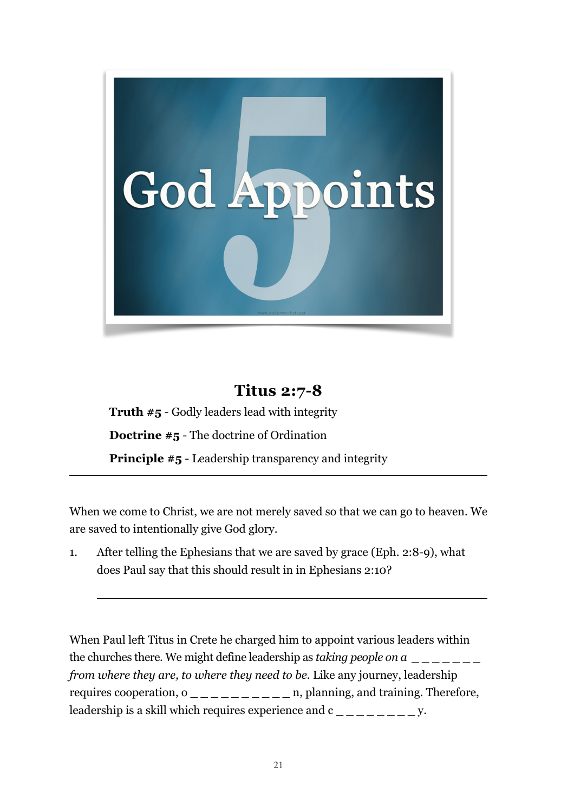

# **Titus 2:7-8**

**Truth #5** - Godly leaders lead with integrity **Doctrine #5** - The doctrine of Ordination **Principle #5** - Leadership transparency and integrity

When we come to Christ, we are not merely saved so that we can go to heaven. We are saved to intentionally give God glory.

1. After telling the Ephesians that we are saved by grace (Eph. 2:8-9), what does Paul say that this should result in in Ephesians 2:10?

 $\overline{a}$ 

When Paul left Titus in Crete he charged him to appoint various leaders within the churches there. We might define leadership as *taking people on a*  $\frac{1}{2}$ *from where they are, to where they need to be*. Like any journey, leadership requires cooperation,  $o$  \_ \_ \_ \_ \_ \_ \_ \_ \_ \_ n, planning, and training. Therefore, leadership is a skill which requires experience and  $c_{\text{max}} = 2$ .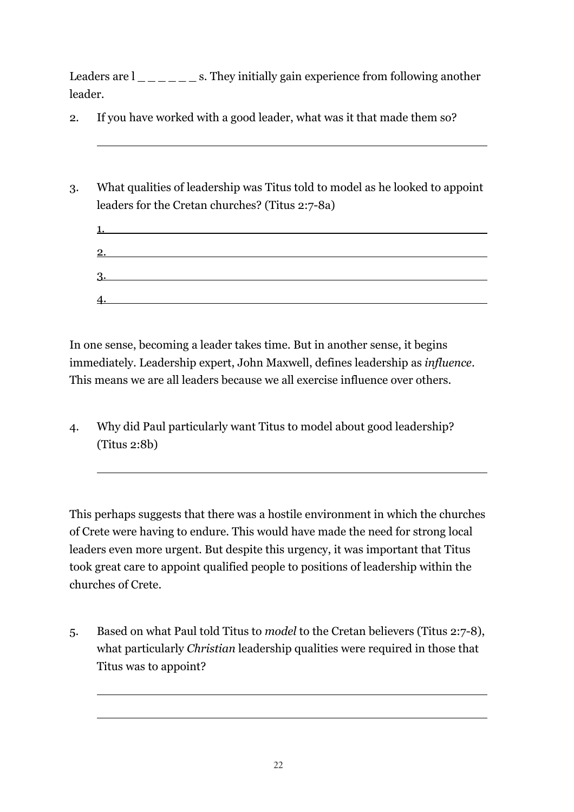Leaders are  $l_{\_ \_ \_ \_ \_ \_ \_ \_ \_ \_ \}$  s. They initially gain experience from following another leader.

- 2. If you have worked with a good leader, what was it that made them so?
- 3. What qualities of leadership was Titus told to model as he looked to appoint leaders for the Cretan churches? (Titus 2:7-8a)

| 1. |  |  |
|----|--|--|
|    |  |  |
| 2. |  |  |
|    |  |  |
| 3. |  |  |
|    |  |  |
| 4. |  |  |
|    |  |  |

In one sense, becoming a leader takes time. But in another sense, it begins immediately. Leadership expert, John Maxwell, defines leadership as *influence*. This means we are all leaders because we all exercise influence over others.

4. Why did Paul particularly want Titus to model about good leadership? (Titus 2:8b)

 $\overline{a}$ 

 $\overline{a}$ 

This perhaps suggests that there was a hostile environment in which the churches of Crete were having to endure. This would have made the need for strong local leaders even more urgent. But despite this urgency, it was important that Titus took great care to appoint qualified people to positions of leadership within the churches of Crete.

5. Based on what Paul told Titus to *model* to the Cretan believers (Titus 2:7-8), what particularly *Christian* leadership qualities were required in those that Titus was to appoint?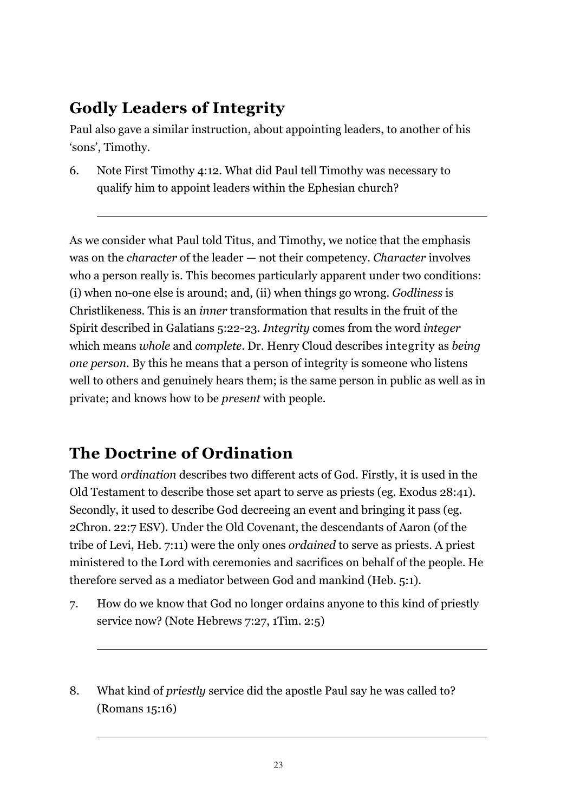## **Godly Leaders of Integrity**

Paul also gave a similar instruction, about appointing leaders, to another of his 'sons', Timothy.

6. Note First Timothy 4:12. What did Paul tell Timothy was necessary to qualify him to appoint leaders within the Ephesian church?

As we consider what Paul told Titus, and Timothy, we notice that the emphasis was on the *character* of the leader — not their competency. *Character* involves who a person really is. This becomes particularly apparent under two conditions: (i) when no-one else is around; and, (ii) when things go wrong. *Godliness* is Christlikeness. This is an *inner* transformation that results in the fruit of the Spirit described in Galatians 5:22-23. *Integrity* comes from the word *integer* which means *whole* and *complete*. Dr. Henry Cloud describes integrity as *being one person*. By this he means that a person of integrity is someone who listens well to others and genuinely hears them; is the same person in public as well as in private; and knows how to be *present* with people.

## **The Doctrine of Ordination**

 $\overline{a}$ 

The word *ordination* describes two different acts of God. Firstly, it is used in the Old Testament to describe those set apart to serve as priests (eg. Exodus 28:41). Secondly, it used to describe God decreeing an event and bringing it pass (eg. 2Chron. 22:7 ESV). Under the Old Covenant, the descendants of Aaron (of the tribe of Levi, Heb. 7:11) were the only ones *ordained* to serve as priests. A priest ministered to the Lord with ceremonies and sacrifices on behalf of the people. He therefore served as a mediator between God and mankind (Heb. 5:1).

- 7. How do we know that God no longer ordains anyone to this kind of priestly service now? (Note Hebrews 7:27, 1Tim. 2:5)
- 8. What kind of *priestly* service did the apostle Paul say he was called to? (Romans 15:16)